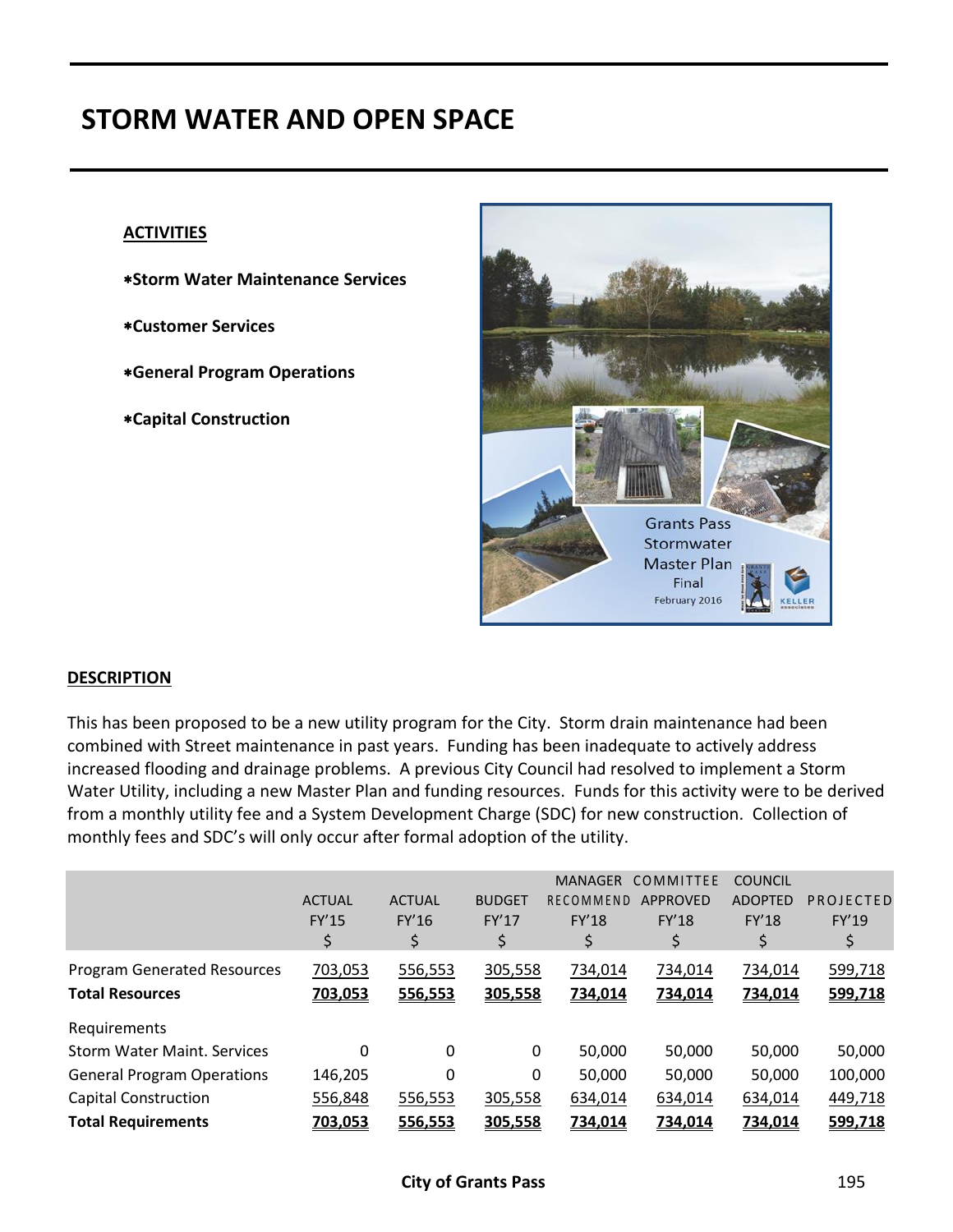# **STORM WATER AND OPEN SPACE**

#### **ACTIVITIES**

- **Storm Water Maintenance Services**
- **Customer Services**
- **General Program Operations**
- **Capital Construction**



#### **DESCRIPTION**

This has been proposed to be a new utility program for the City. Storm drain maintenance had been combined with Street maintenance in past years. Funding has been inadequate to actively address increased flooding and drainage problems. A previous City Council had resolved to implement a Storm Water Utility, including a new Master Plan and funding resources. Funds for this activity were to be derived from a monthly utility fee and a System Development Charge (SDC) for new construction. Collection of monthly fees and SDC's will only occur after formal adoption of the utility.

|                                    |               |               |               | <b>MANAGER</b> | <b>COMMITTEE</b> | <b>COUNCIL</b> |              |
|------------------------------------|---------------|---------------|---------------|----------------|------------------|----------------|--------------|
|                                    | <b>ACTUAL</b> | <b>ACTUAL</b> | <b>BUDGET</b> | RECOMMEND      | APPROVED         | <b>ADOPTED</b> | PROJECTED    |
|                                    | <b>FY'15</b>  | FY'16         | FY'17         | <b>FY'18</b>   | <b>FY'18</b>     | <b>FY'18</b>   | <b>FY'19</b> |
|                                    | \$            | \$            | \$            | \$             | Ş                | \$             | \$           |
| <b>Program Generated Resources</b> | 703,053       | 556,553       | 305,558       | 734,014        | 734,014          | 734,014        | 599,718      |
| <b>Total Resources</b>             | 703,053       | 556,553       | 305,558       | 734,014        | 734,014          | 734,014        | 599,718      |
| Requirements                       |               |               |               |                |                  |                |              |
| <b>Storm Water Maint, Services</b> | $\Omega$      | $\Omega$      | 0             | 50,000         | 50,000           | 50,000         | 50,000       |
| <b>General Program Operations</b>  | 146,205       | 0             | 0             | 50,000         | 50,000           | 50,000         | 100,000      |
| <b>Capital Construction</b>        | 556,848       | 556,553       | 305,558       | 634,014        | 634,014          | 634,014        | 449,718      |
| <b>Total Requirements</b>          | 703,053       | 556,553       | 305,558       | 734,014        | <u>734,014</u>   | 734,014        | 599,718      |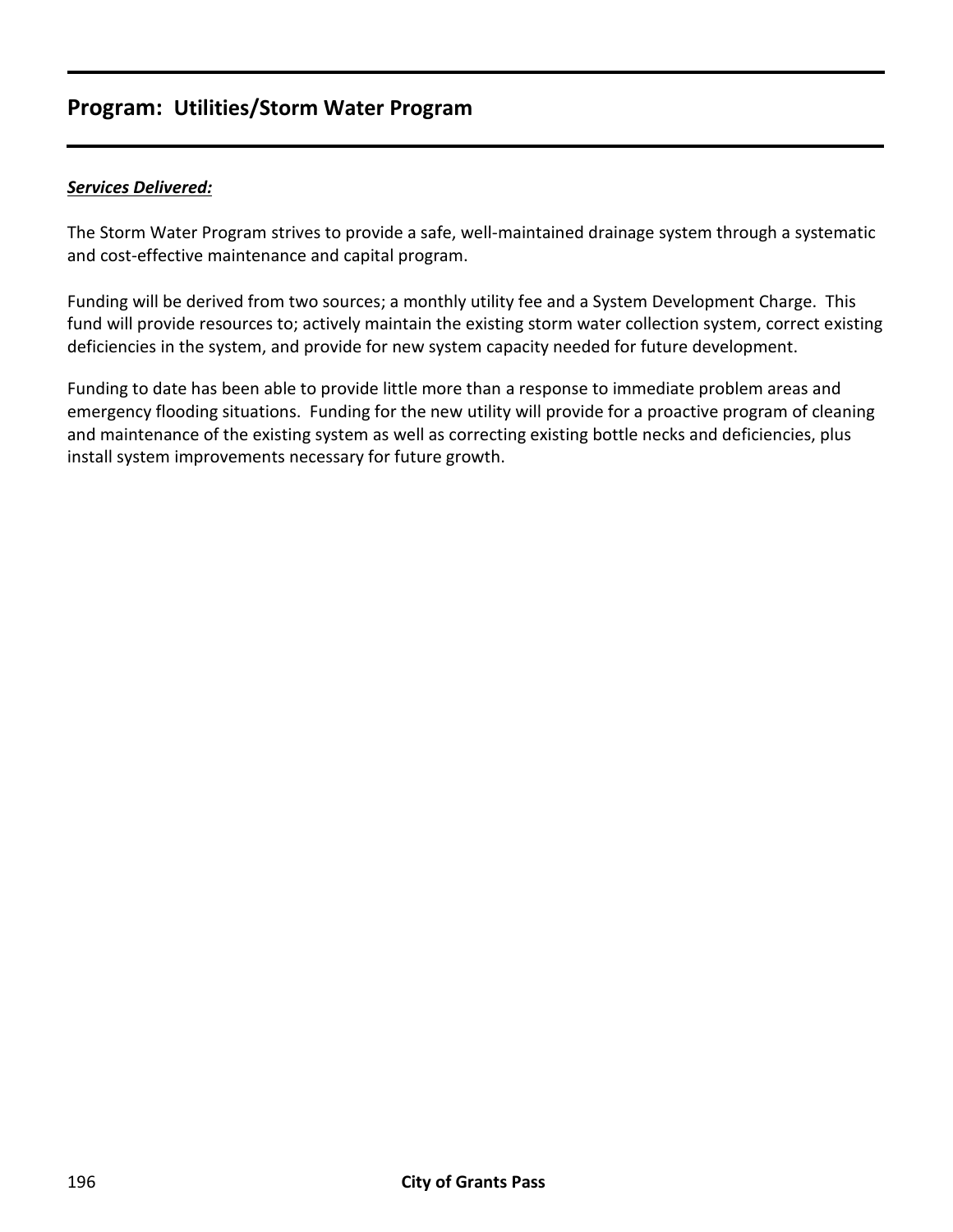## **Program: Utilities/Storm Water Program**

#### *Services Delivered:*

The Storm Water Program strives to provide a safe, well-maintained drainage system through a systematic and cost-effective maintenance and capital program.

Funding will be derived from two sources; a monthly utility fee and a System Development Charge. This fund will provide resources to; actively maintain the existing storm water collection system, correct existing deficiencies in the system, and provide for new system capacity needed for future development.

Funding to date has been able to provide little more than a response to immediate problem areas and emergency flooding situations. Funding for the new utility will provide for a proactive program of cleaning and maintenance of the existing system as well as correcting existing bottle necks and deficiencies, plus install system improvements necessary for future growth.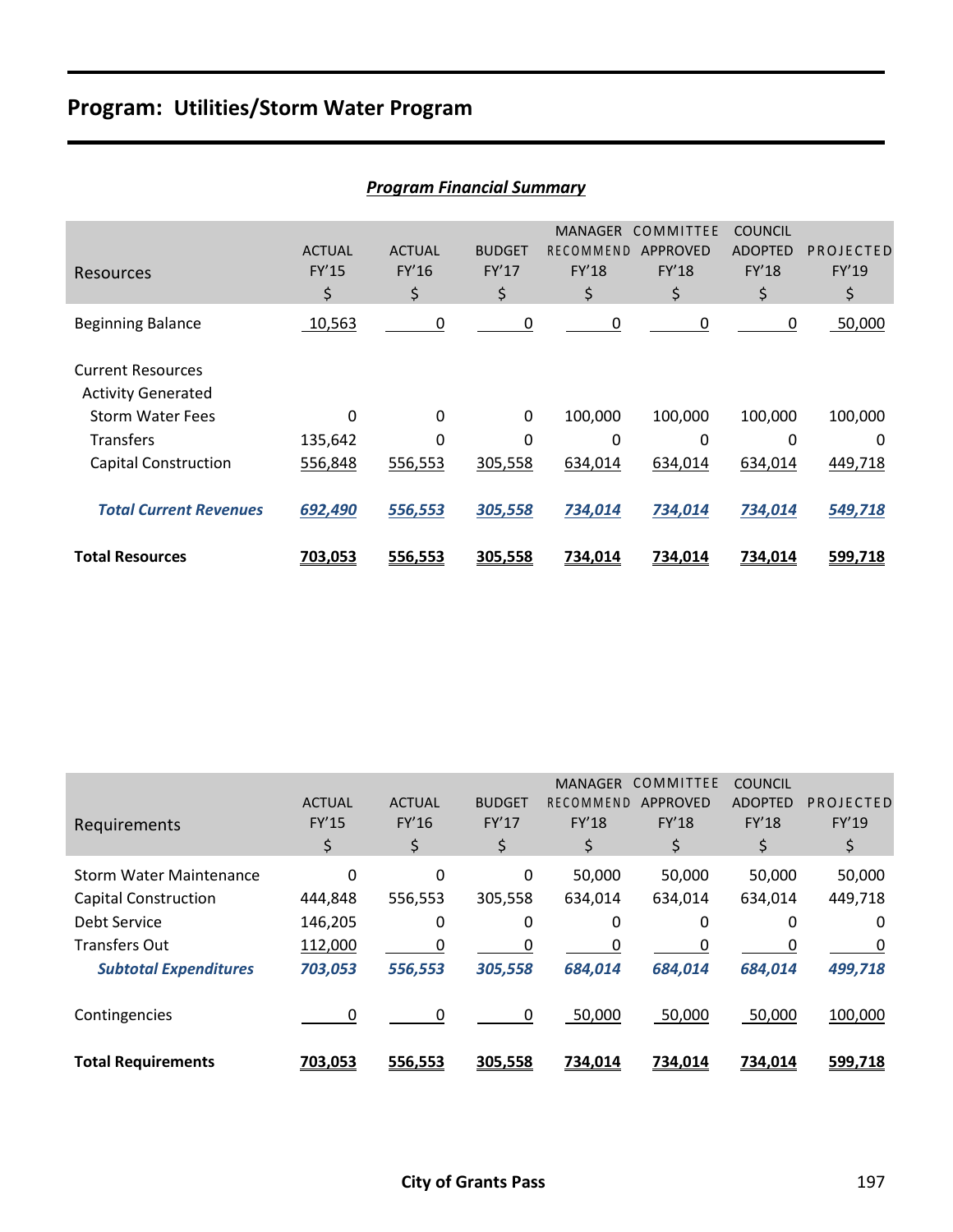## **Program: Utilities/Storm Water Program**

|                                                       |                              | PTUYFUIII FIIIUIILIUI JUIIIIIIUI Y |                              |                                                   |                                             |                                                 |                          |
|-------------------------------------------------------|------------------------------|------------------------------------|------------------------------|---------------------------------------------------|---------------------------------------------|-------------------------------------------------|--------------------------|
| Resources                                             | <b>ACTUAL</b><br>FY'15<br>\$ | <b>ACTUAL</b><br>FY'16<br>\$       | <b>BUDGET</b><br>FY'17<br>\$ | <b>MANAGER</b><br><b>RECOMMEND</b><br>FY'18<br>\$ | COMMITTEE<br><b>APPROVED</b><br>FY'18<br>\$ | <b>COUNCIL</b><br><b>ADOPTED</b><br>FY'18<br>\$ | PROJECTED<br>FY'19<br>\$ |
| <b>Beginning Balance</b>                              | 10,563                       | 0                                  | 0                            | 0                                                 | 0                                           | 0                                               | 50,000                   |
| <b>Current Resources</b><br><b>Activity Generated</b> |                              |                                    |                              |                                                   |                                             |                                                 |                          |
| <b>Storm Water Fees</b>                               | $\Omega$                     | 0                                  | $\Omega$                     | 100,000                                           | 100,000                                     | 100,000                                         | 100,000                  |
| <b>Transfers</b>                                      | 135,642                      | 0                                  | 0                            | 0                                                 | 0                                           | 0                                               | 0                        |
| <b>Capital Construction</b>                           | 556,848                      | 556,553                            | 305,558                      | 634,014                                           | 634,014                                     | 634,014                                         | 449,718                  |
| <b>Total Current Revenues</b>                         | 692,490                      | 556,553                            | 305,558                      | 734,014                                           | 734,014                                     | 734,014                                         | 549,718                  |
| <b>Total Resources</b>                                | 703,053                      | 556,553                            | 305,558                      | 734,014                                           | 734,014                                     | 734,014                                         | 599,718                  |

#### *Program Financial Summary*

| Requirements                   | <b>ACTUAL</b><br><b>FY'15</b><br>\$ | <b>ACTUAL</b><br>FY'16<br>\$ | <b>BUDGET</b><br>FY'17<br>\$ | <b>MANAGER</b><br>RECOMMEND<br><b>FY'18</b><br>\$ | COMMITTEE<br><b>APPROVED</b><br><b>FY'18</b><br>\$ | <b>COUNCIL</b><br><b>ADOPTED</b><br><b>FY'18</b><br>\$ | PROJECTED<br>FY'19<br>\$ |
|--------------------------------|-------------------------------------|------------------------------|------------------------------|---------------------------------------------------|----------------------------------------------------|--------------------------------------------------------|--------------------------|
| <b>Storm Water Maintenance</b> | $\Omega$                            | 0                            | 0                            | 50,000                                            | 50,000                                             | 50,000                                                 | 50,000                   |
| <b>Capital Construction</b>    | 444,848                             | 556,553                      | 305,558                      | 634,014                                           | 634,014                                            | 634,014                                                | 449,718                  |
| Debt Service                   | 146,205                             | 0                            | 0                            | 0                                                 | 0                                                  | 0                                                      | 0                        |
| <b>Transfers Out</b>           | 112,000                             | 0                            | 0                            | 0                                                 | 0                                                  | 0                                                      | 0                        |
| <b>Subtotal Expenditures</b>   | 703,053                             | 556,553                      | 305,558                      | 684,014                                           | 684,014                                            | 684,014                                                | 499,718                  |
| Contingencies                  | $\Omega$                            | 0                            | 0                            | 50,000                                            | 50,000                                             | 50,000                                                 | 100,000                  |
| <b>Total Requirements</b>      | 703,053                             | 556,553                      | 305,558                      | 734,014                                           | 734,014                                            | 734,014                                                | 599,718                  |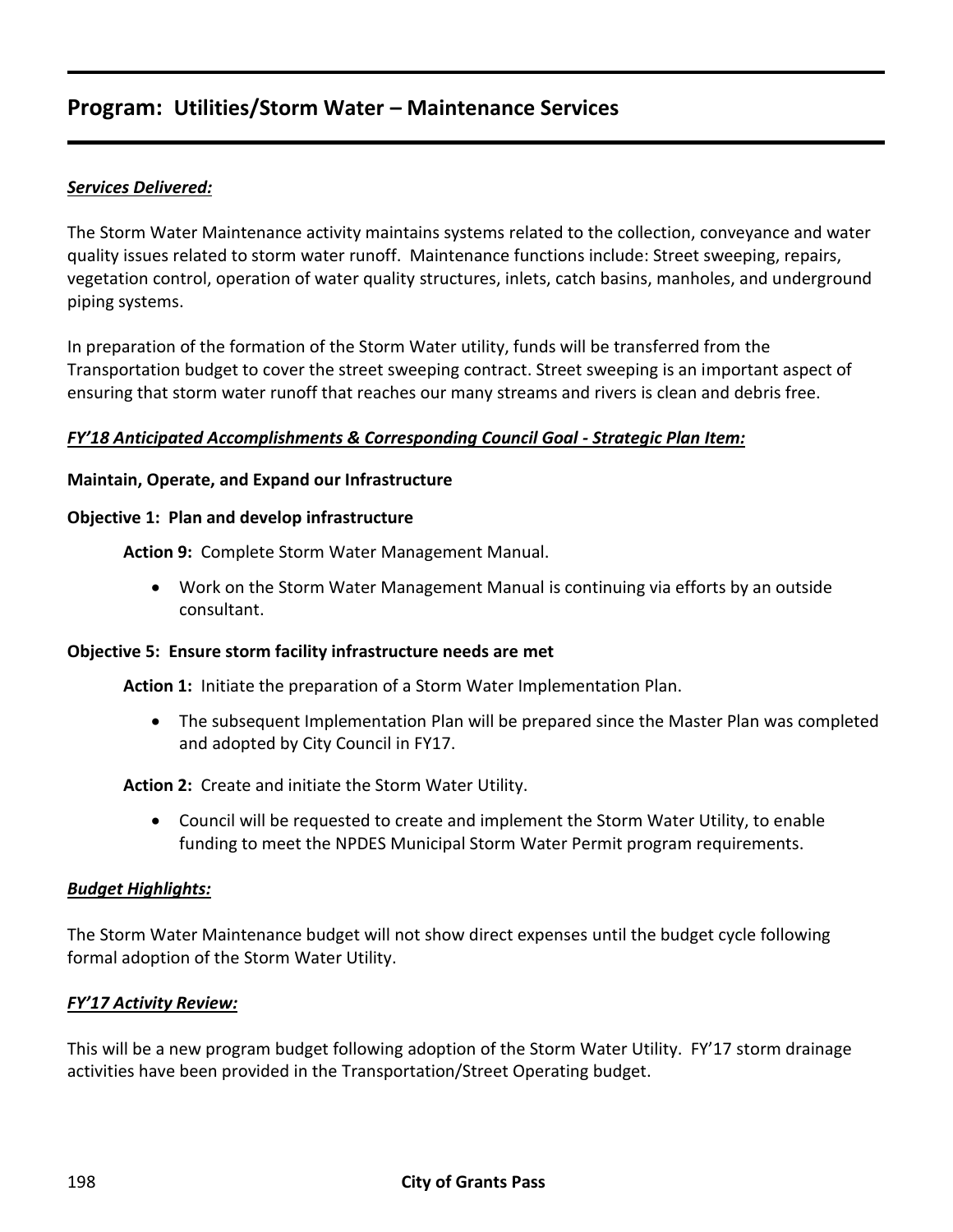### **Program: Utilities/Storm Water – Maintenance Services**

#### *Services Delivered:*

The Storm Water Maintenance activity maintains systems related to the collection, conveyance and water quality issues related to storm water runoff. Maintenance functions include: Street sweeping, repairs, vegetation control, operation of water quality structures, inlets, catch basins, manholes, and underground piping systems.

In preparation of the formation of the Storm Water utility, funds will be transferred from the Transportation budget to cover the street sweeping contract. Street sweeping is an important aspect of ensuring that storm water runoff that reaches our many streams and rivers is clean and debris free.

#### *FY'18 Anticipated Accomplishments & Corresponding Council Goal - Strategic Plan Item:*

#### **Maintain, Operate, and Expand our Infrastructure**

#### **Objective 1: Plan and develop infrastructure**

**Action 9:** Complete Storm Water Management Manual.

 Work on the Storm Water Management Manual is continuing via efforts by an outside consultant.

#### **Objective 5: Ensure storm facility infrastructure needs are met**

**Action 1:** Initiate the preparation of a Storm Water Implementation Plan.

 The subsequent Implementation Plan will be prepared since the Master Plan was completed and adopted by City Council in FY17.

#### **Action 2:** Create and initiate the Storm Water Utility.

 Council will be requested to create and implement the Storm Water Utility, to enable funding to meet the NPDES Municipal Storm Water Permit program requirements.

#### *Budget Highlights:*

The Storm Water Maintenance budget will not show direct expenses until the budget cycle following formal adoption of the Storm Water Utility.

#### *FY'17 Activity Review:*

This will be a new program budget following adoption of the Storm Water Utility. FY'17 storm drainage activities have been provided in the Transportation/Street Operating budget.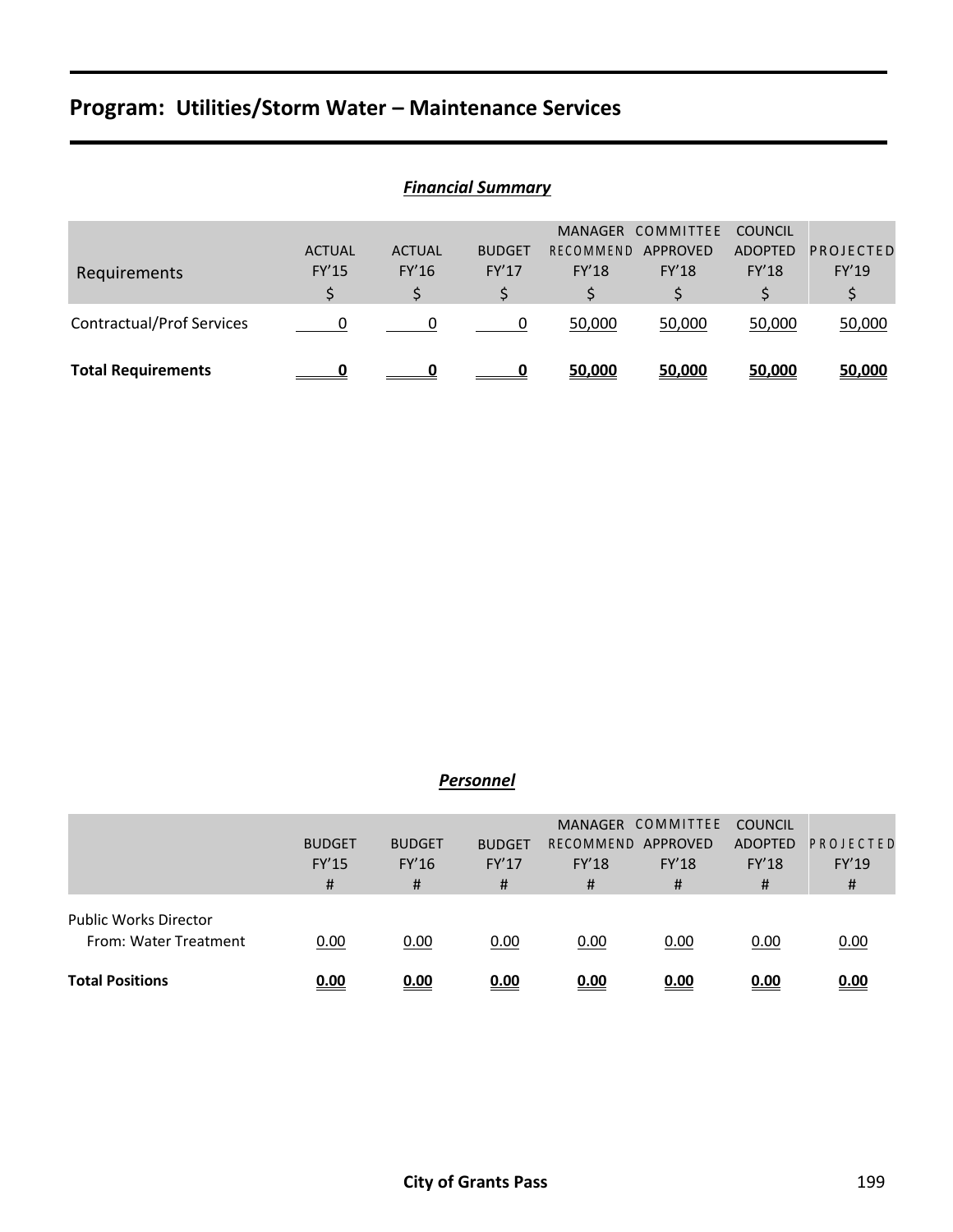## **Program: Utilities/Storm Water – Maintenance Services**

| Requirements                     | <b>ACTUAL</b><br><b>FY'15</b> | <b>ACTUAL</b><br>FY'16 | <b>BUDGET</b><br>FY'17 | RECOMMEND<br><b>FY'18</b> | MANAGER COMMITTEE<br>APPROVED<br><b>FY'18</b> | <b>COUNCIL</b><br><b>ADOPTED</b><br><b>FY'18</b> | PROJECTED<br>FY'19 |  |  |
|----------------------------------|-------------------------------|------------------------|------------------------|---------------------------|-----------------------------------------------|--------------------------------------------------|--------------------|--|--|
| <b>Contractual/Prof Services</b> | $\Omega$                      |                        | 0                      | 50,000                    | 50,000                                        | 50,000                                           | 50,000             |  |  |
| <b>Total Requirements</b>        |                               |                        |                        | 50,000                    | 50,000                                        | 50,000                                           | 50,000             |  |  |

### *Financial Summary*

#### *Personnel*

|                              |               |               |               |                  | MANAGER COMMITTEE | <b>COUNCIL</b> |           |
|------------------------------|---------------|---------------|---------------|------------------|-------------------|----------------|-----------|
|                              | <b>BUDGET</b> | <b>BUDGET</b> | <b>BUDGET</b> | <b>RECOMMEND</b> | APPROVED          | ADOPTED        | PROJECTED |
|                              | <b>FY'15</b>  | FY'16         | FY'17         | <b>FY'18</b>     | <b>FY'18</b>      | <b>FY'18</b>   | FY'19     |
|                              | #             | #             | #             | #                | #                 | #              | #         |
| <b>Public Works Director</b> |               |               |               |                  |                   |                |           |
| From: Water Treatment        | 0.00          | 0.00          | 0.00          | 0.00             | 0.00              | 0.00           | 0.00      |
| <b>Total Positions</b>       | 0.00          | 0.00          | 0.00          | 0.00             | 0.00              | 0.00           | 0.00      |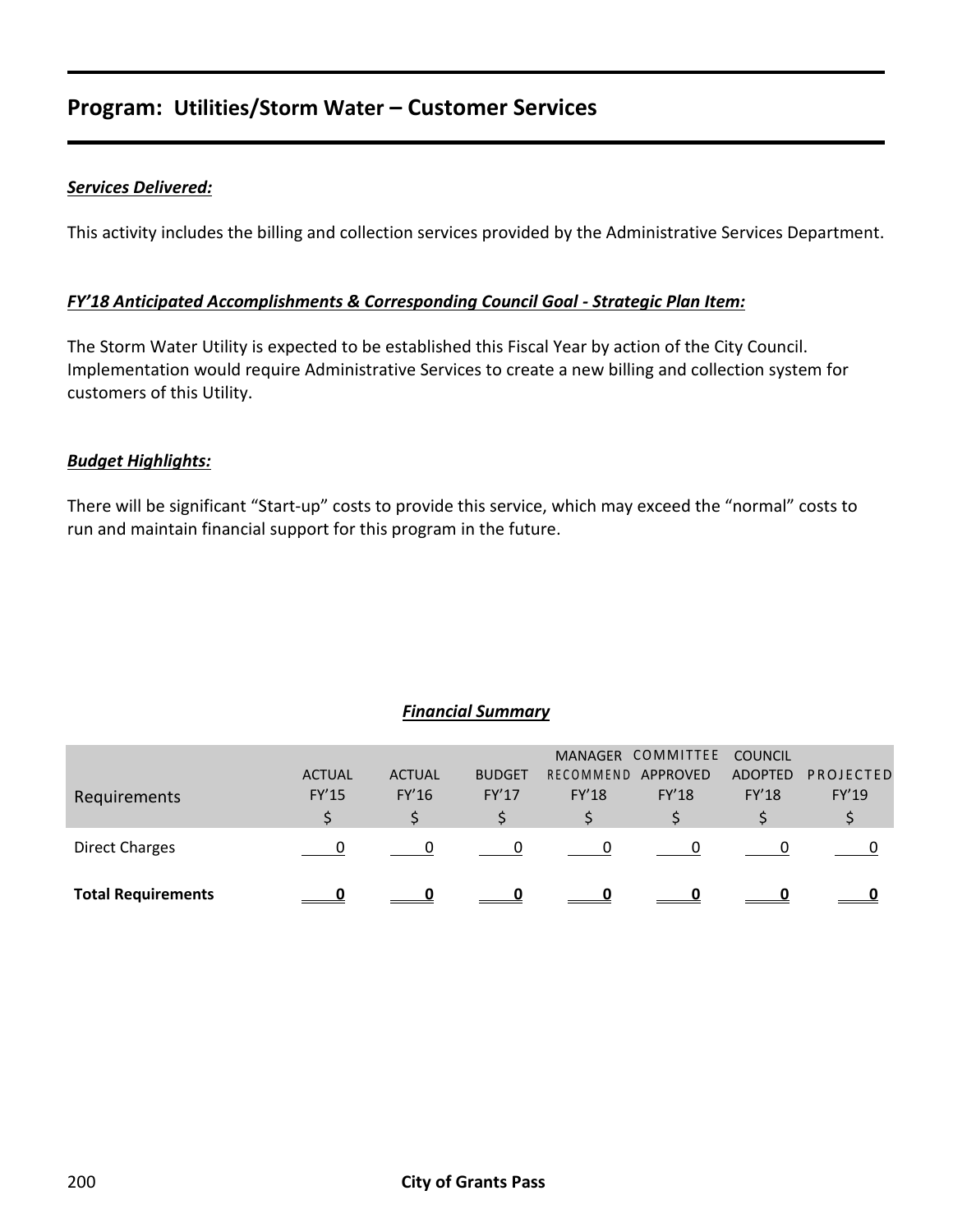## **Program: Utilities/Storm Water – Customer Services**

#### *Services Delivered:*

This activity includes the billing and collection services provided by the Administrative Services Department.

#### *FY'18 Anticipated Accomplishments & Corresponding Council Goal - Strategic Plan Item:*

The Storm Water Utility is expected to be established this Fiscal Year by action of the City Council. Implementation would require Administrative Services to create a new billing and collection system for customers of this Utility.

#### *Budget Highlights:*

There will be significant "Start-up" costs to provide this service, which may exceed the "normal" costs to run and maintain financial support for this program in the future.

#### *Financial Summary*

| <b>Total Requirements</b> |                               |                        |                        |                           |                                               |                                                  |                           |
|---------------------------|-------------------------------|------------------------|------------------------|---------------------------|-----------------------------------------------|--------------------------------------------------|---------------------------|
| <b>Direct Charges</b>     |                               |                        | 0                      | $\Omega$                  |                                               |                                                  |                           |
|                           |                               |                        |                        |                           |                                               |                                                  |                           |
| Requirements              | <b>ACTUAL</b><br><b>FY'15</b> | <b>ACTUAL</b><br>FY'16 | <b>BUDGET</b><br>FY'17 | RECOMMEND<br><b>FY'18</b> | MANAGER COMMITTEE<br>APPROVED<br><b>FY'18</b> | <b>COUNCIL</b><br><b>ADOPTED</b><br><b>FY'18</b> | <b>PROJECTED</b><br>FY'19 |
|                           |                               |                        |                        |                           |                                               |                                                  |                           |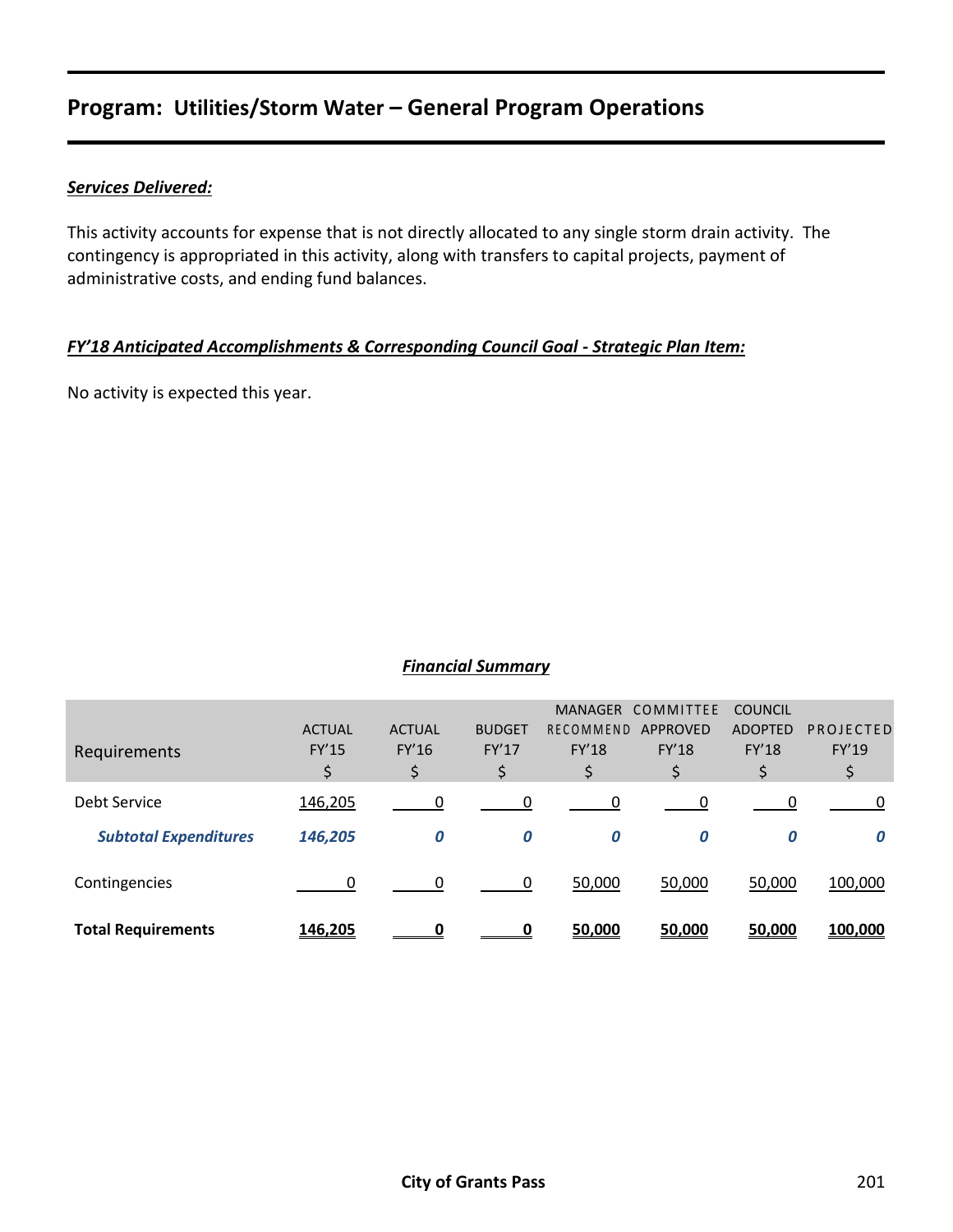## **Program: Utilities/Storm Water – General Program Operations**

#### *Services Delivered:*

This activity accounts for expense that is not directly allocated to any single storm drain activity. The contingency is appropriated in this activity, along with transfers to capital projects, payment of administrative costs, and ending fund balances.

#### *FY'18 Anticipated Accomplishments & Corresponding Council Goal - Strategic Plan Item:*

No activity is expected this year.

#### *Financial Summary*

| Requirements                 | <b>ACTUAL</b><br>FY'15<br>\$ | <b>ACTUAL</b><br>FY'16<br>\$ | <b>BUDGET</b><br>FY'17<br>\$ | <b>MANAGER</b><br>RECOMMEND<br>FY'18<br>\$ | COMMITTEE<br>APPROVED<br><b>FY'18</b><br>\$ | <b>COUNCIL</b><br><b>ADOPTED</b><br>FY'18<br>\$ | PROJECTED<br>FY'19<br>\$ |
|------------------------------|------------------------------|------------------------------|------------------------------|--------------------------------------------|---------------------------------------------|-------------------------------------------------|--------------------------|
| Debt Service                 | 146,205                      | 0                            | 0                            | 0                                          | 0                                           | 0                                               |                          |
| <b>Subtotal Expenditures</b> | 146,205                      | 0                            | 0                            | 0                                          | 0                                           | 0                                               |                          |
| Contingencies                | 0                            | $\Omega$                     | 0                            | 50,000                                     | 50,000                                      | 50,000                                          | 100,000                  |
| <b>Total Requirements</b>    | 146,205                      | Ω                            | O                            | 50,000                                     | 50,000                                      | 50,000                                          | 100,000                  |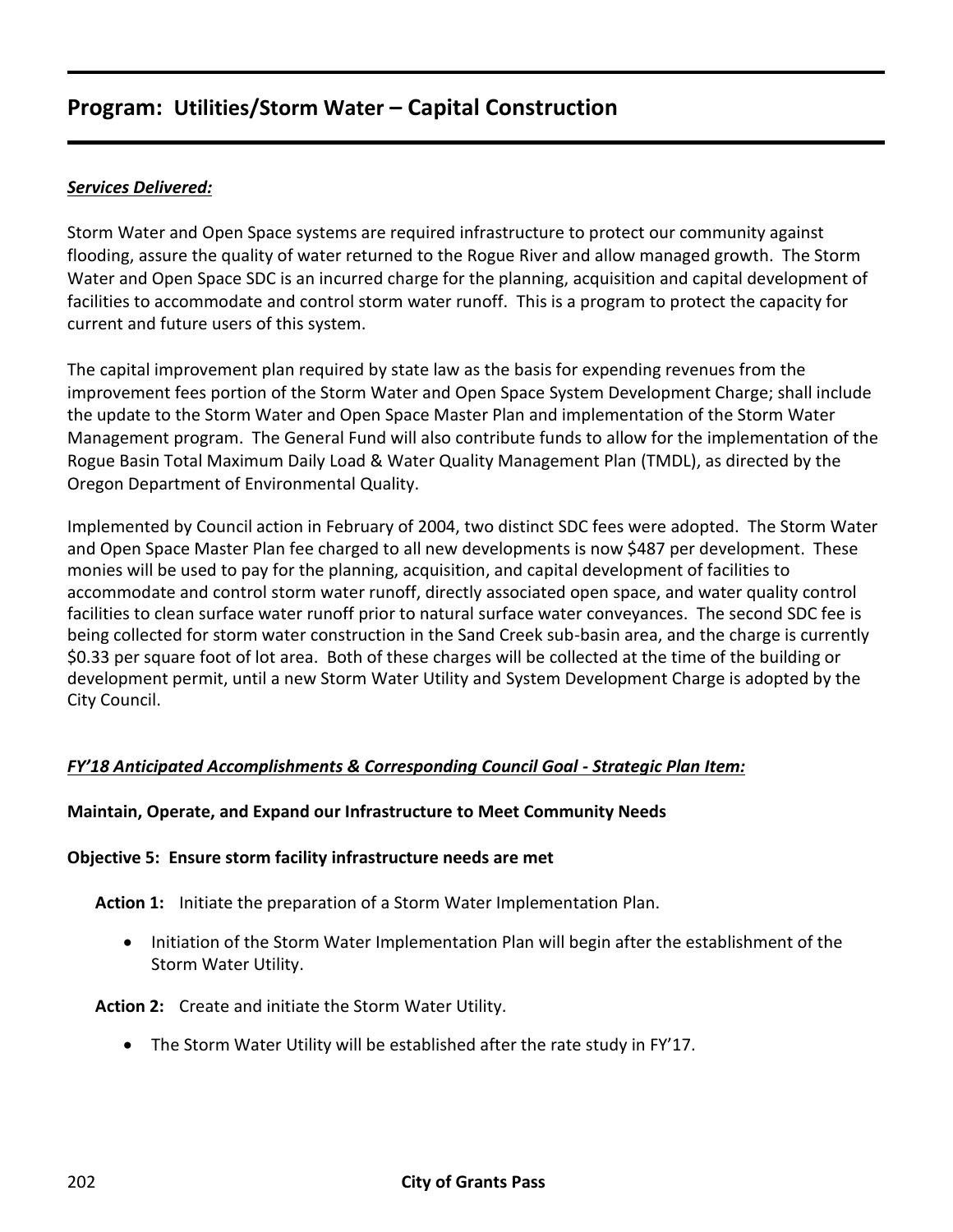#### *Services Delivered:*

Storm Water and Open Space systems are required infrastructure to protect our community against flooding, assure the quality of water returned to the Rogue River and allow managed growth. The Storm Water and Open Space SDC is an incurred charge for the planning, acquisition and capital development of facilities to accommodate and control storm water runoff. This is a program to protect the capacity for current and future users of this system.

The capital improvement plan required by state law as the basis for expending revenues from the improvement fees portion of the Storm Water and Open Space System Development Charge; shall include the update to the Storm Water and Open Space Master Plan and implementation of the Storm Water Management program. The General Fund will also contribute funds to allow for the implementation of the Rogue Basin Total Maximum Daily Load & Water Quality Management Plan (TMDL), as directed by the Oregon Department of Environmental Quality.

Implemented by Council action in February of 2004, two distinct SDC fees were adopted. The Storm Water and Open Space Master Plan fee charged to all new developments is now \$487 per development. These monies will be used to pay for the planning, acquisition, and capital development of facilities to accommodate and control storm water runoff, directly associated open space, and water quality control facilities to clean surface water runoff prior to natural surface water conveyances. The second SDC fee is being collected for storm water construction in the Sand Creek sub-basin area, and the charge is currently \$0.33 per square foot of lot area. Both of these charges will be collected at the time of the building or development permit, until a new Storm Water Utility and System Development Charge is adopted by the City Council.

#### *FY'18 Anticipated Accomplishments & Corresponding Council Goal - Strategic Plan Item:*

#### **Maintain, Operate, and Expand our Infrastructure to Meet Community Needs**

#### **Objective 5: Ensure storm facility infrastructure needs are met**

**Action 1:** Initiate the preparation of a Storm Water Implementation Plan.

• Initiation of the Storm Water Implementation Plan will begin after the establishment of the Storm Water Utility.

**Action 2:** Create and initiate the Storm Water Utility.

The Storm Water Utility will be established after the rate study in FY'17.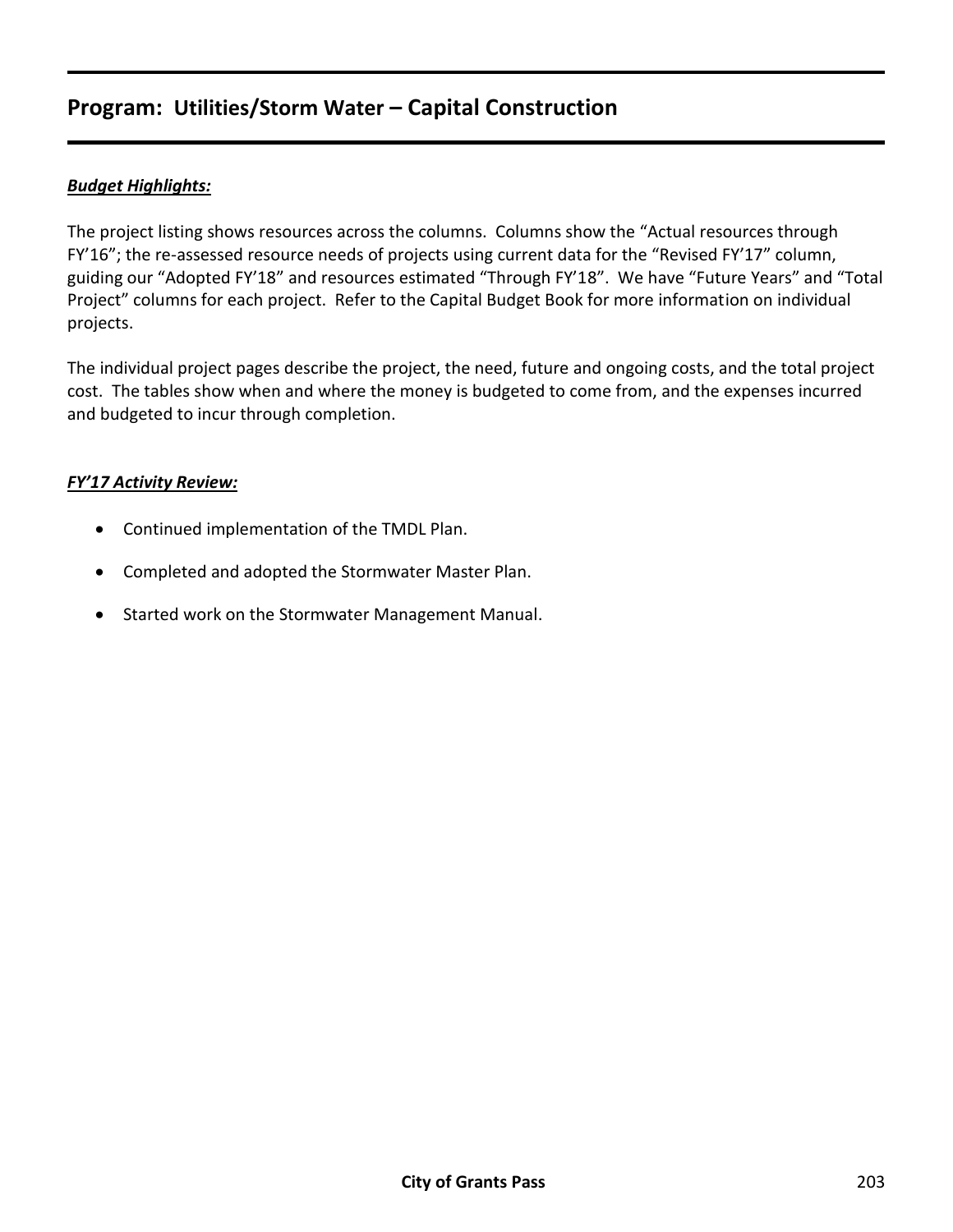#### *Budget Highlights:*

The project listing shows resources across the columns. Columns show the "Actual resources through FY'16"; the re-assessed resource needs of projects using current data for the "Revised FY'17" column, guiding our "Adopted FY'18" and resources estimated "Through FY'18". We have "Future Years" and "Total Project" columns for each project. Refer to the Capital Budget Book for more information on individual projects.

The individual project pages describe the project, the need, future and ongoing costs, and the total project cost. The tables show when and where the money is budgeted to come from, and the expenses incurred and budgeted to incur through completion.

#### *FY'17 Activity Review:*

- Continued implementation of the TMDL Plan.
- Completed and adopted the Stormwater Master Plan.
- Started work on the Stormwater Management Manual.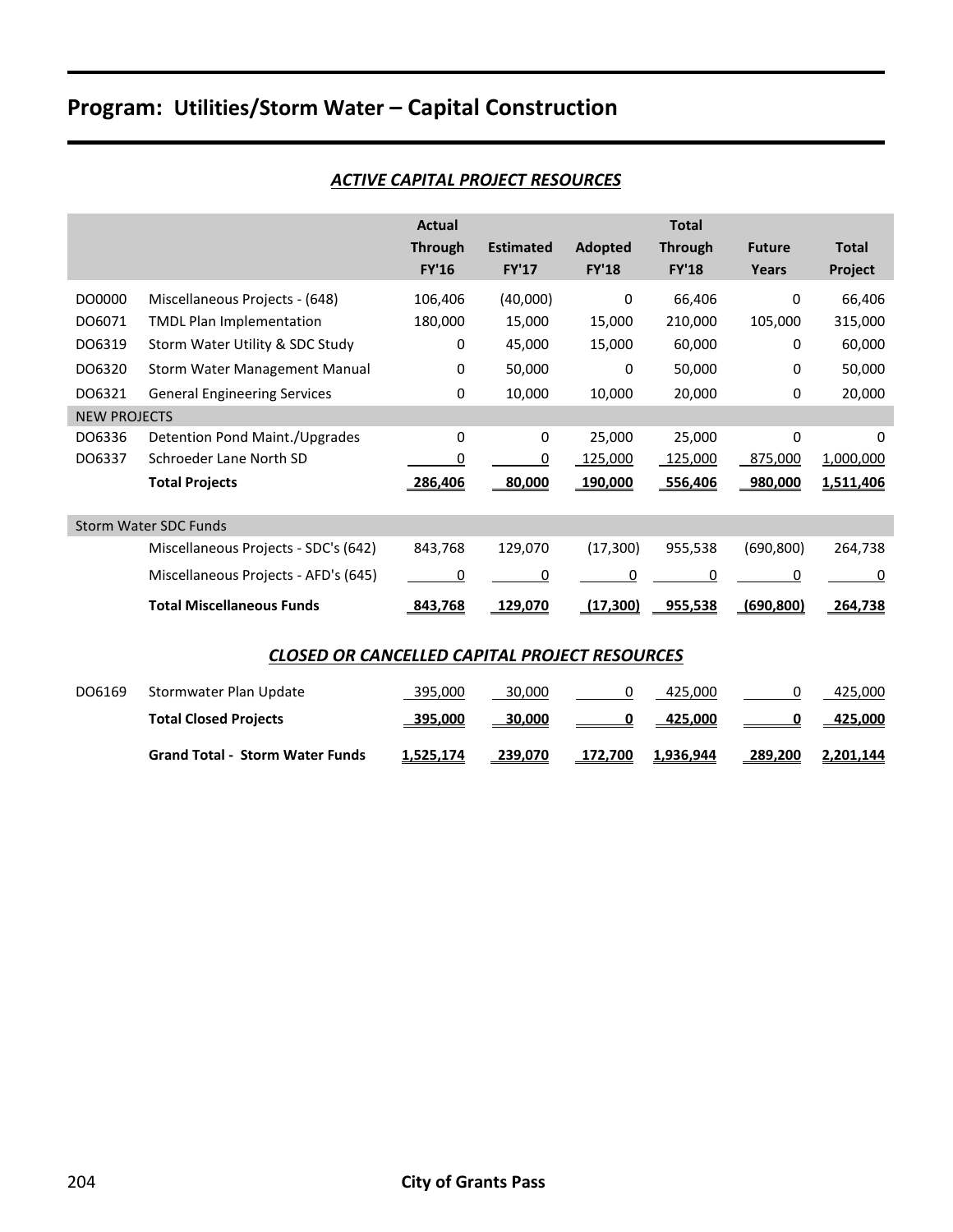#### *ACTIVE CAPITAL PROJECT RESOURCES*

|                     |                                      | <b>Actual</b><br><b>Through</b><br><b>FY'16</b> | <b>Estimated</b><br><b>FY'17</b> | Adopted<br><b>FY'18</b> | <b>Total</b><br><b>Through</b><br><b>FY'18</b> | <b>Future</b><br>Years | <b>Total</b><br>Project |
|---------------------|--------------------------------------|-------------------------------------------------|----------------------------------|-------------------------|------------------------------------------------|------------------------|-------------------------|
| DO0000              | Miscellaneous Projects - (648)       | 106,406                                         | (40,000)                         | 0                       | 66,406                                         | 0                      | 66,406                  |
| DO6071              | <b>TMDL Plan Implementation</b>      | 180,000                                         | 15,000                           | 15,000                  | 210,000                                        | 105,000                | 315,000                 |
| DO6319              | Storm Water Utility & SDC Study      | 0                                               | 45,000                           | 15,000                  | 60,000                                         | 0                      | 60,000                  |
| DO6320              | Storm Water Management Manual        | 0                                               | 50,000                           | 0                       | 50,000                                         | 0                      | 50,000                  |
| DO6321              | <b>General Engineering Services</b>  | 0                                               | 10,000                           | 10,000                  | 20,000                                         | 0                      | 20,000                  |
| <b>NEW PROJECTS</b> |                                      |                                                 |                                  |                         |                                                |                        |                         |
| DO6336              | Detention Pond Maint./Upgrades       | 0                                               | 0                                | 25,000                  | 25,000                                         | 0                      | 0                       |
| DO6337              | Schroeder Lane North SD              | 0                                               | 0                                | 125,000                 | 125,000                                        | 875,000                | 1,000,000               |
|                     | <b>Total Projects</b>                | 286,406                                         | <u>80,000</u>                    | 190,000                 | 556,406                                        | <u>980,000</u>         | 1,511,406               |
|                     | <b>Storm Water SDC Funds</b>         |                                                 |                                  |                         |                                                |                        |                         |
|                     | Miscellaneous Projects - SDC's (642) | 843,768                                         | 129,070                          | (17, 300)               | 955,538                                        | (690, 800)             | 264,738                 |
|                     | Miscellaneous Projects - AFD's (645) | 0                                               | 0                                | 0                       | $\Omega$                                       | 0                      | 0                       |
|                     | <b>Total Miscellaneous Funds</b>     | 843,768                                         | 129,070                          | (17, 300)               | 955,538                                        | (690, 800)             | 264,738                 |

#### *CLOSED OR CANCELLED CAPITAL PROJECT RESOURCES*

| DO6169 | Stormwater Plan Update                 | 395,000   | 30.000  |         | 425.000        |         | 425,000   |
|--------|----------------------------------------|-----------|---------|---------|----------------|---------|-----------|
|        | <b>Total Closed Projects</b>           | 395.000   | 30,000  |         | <u>425,000</u> |         | 425.000   |
|        | <b>Grand Total - Storm Water Funds</b> | 1,525,174 | 239,070 | 172,700 | 1,936,944      | 289,200 | 2,201,144 |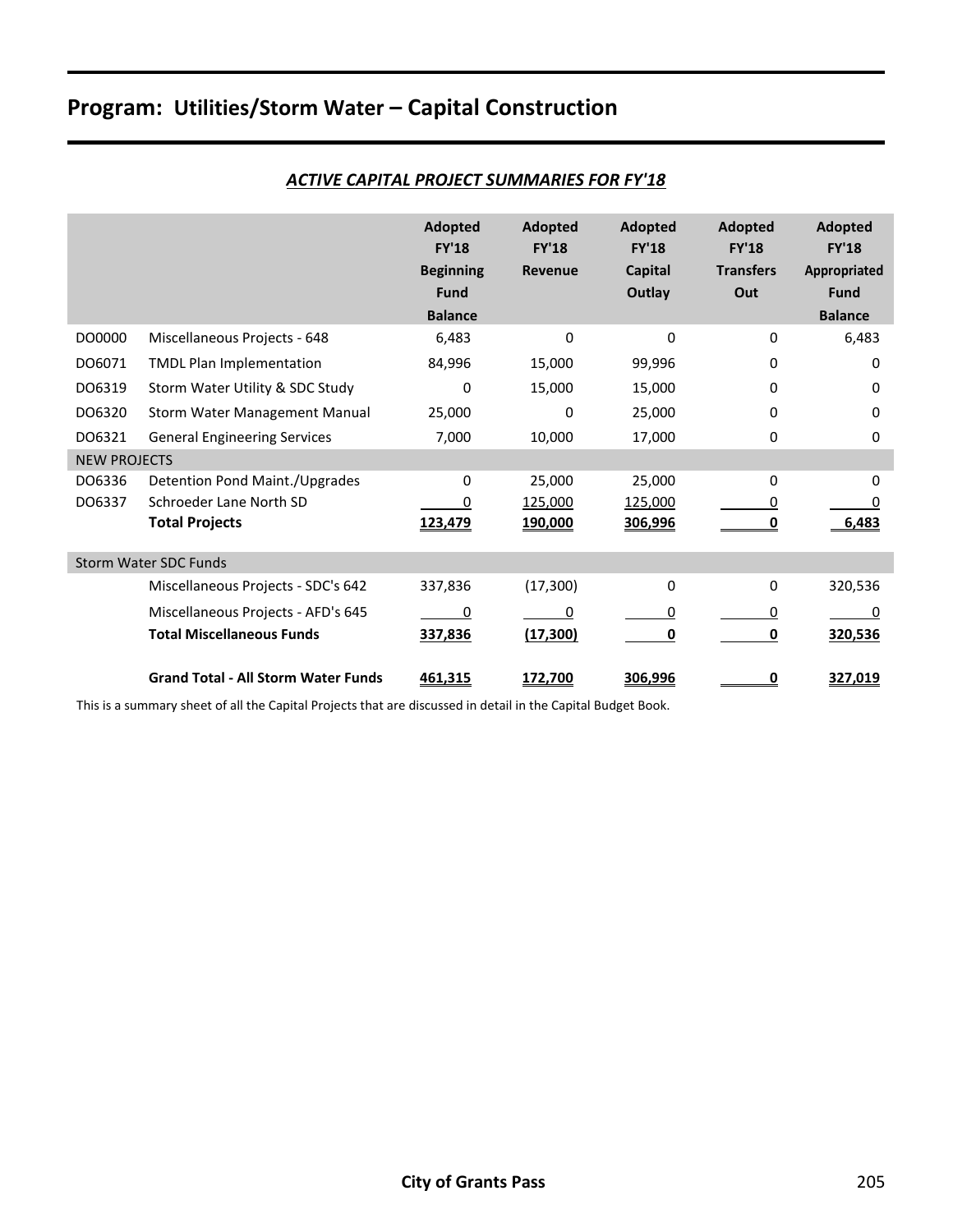|                     |                                            | <b>Adopted</b><br><b>FY'18</b><br><b>Beginning</b><br>Fund<br><b>Balance</b> | Adopted<br><b>FY'18</b><br>Revenue | Adopted<br><b>FY'18</b><br><b>Capital</b><br>Outlay | Adopted<br><b>FY'18</b><br><b>Transfers</b><br>Out | <b>Adopted</b><br><b>FY'18</b><br>Appropriated<br>Fund<br><b>Balance</b> |
|---------------------|--------------------------------------------|------------------------------------------------------------------------------|------------------------------------|-----------------------------------------------------|----------------------------------------------------|--------------------------------------------------------------------------|
| DO0000              | Miscellaneous Projects - 648               | 6,483                                                                        | $\mathbf 0$                        | 0                                                   | $\Omega$                                           | 6,483                                                                    |
| DO6071              | <b>TMDL Plan Implementation</b>            | 84,996                                                                       | 15,000                             | 99,996                                              | $\mathbf{0}$                                       | 0                                                                        |
| DO6319              | Storm Water Utility & SDC Study            | 0                                                                            | 15,000                             | 15,000                                              | 0                                                  | 0                                                                        |
| DO6320              | Storm Water Management Manual              | 25,000                                                                       | 0                                  | 25,000                                              | 0                                                  | 0                                                                        |
| DO6321              | <b>General Engineering Services</b>        | 7,000                                                                        | 10,000                             | 17,000                                              | 0                                                  | 0                                                                        |
| <b>NEW PROJECTS</b> |                                            |                                                                              |                                    |                                                     |                                                    |                                                                          |
| DO6336              | Detention Pond Maint./Upgrades             | 0                                                                            | 25,000                             | 25,000                                              | 0                                                  | 0                                                                        |
| DO6337              | Schroeder Lane North SD                    |                                                                              | 125,000                            | 125,000                                             | 0                                                  |                                                                          |
|                     | <b>Total Projects</b>                      | 123,479                                                                      | 190,000                            | 306,996                                             |                                                    | 6.483                                                                    |
|                     | <b>Storm Water SDC Funds</b>               |                                                                              |                                    |                                                     |                                                    |                                                                          |
|                     | Miscellaneous Projects - SDC's 642         | 337,836                                                                      | (17, 300)                          | 0                                                   | 0                                                  | 320,536                                                                  |
|                     | Miscellaneous Projects - AFD's 645         | 0                                                                            | 0                                  | 0                                                   | 0                                                  | 0                                                                        |
|                     | <b>Total Miscellaneous Funds</b>           | 337,836                                                                      | (17, 300)                          | 0                                                   | 0                                                  | 320,536                                                                  |
|                     | <b>Grand Total - All Storm Water Funds</b> | 461,315                                                                      | 172,700                            | 306,996                                             | 0                                                  | 327,019                                                                  |

#### *ACTIVE CAPITAL PROJECT SUMMARIES FOR FY'18*

This is a summary sheet of all the Capital Projects that are discussed in detail in the Capital Budget Book.